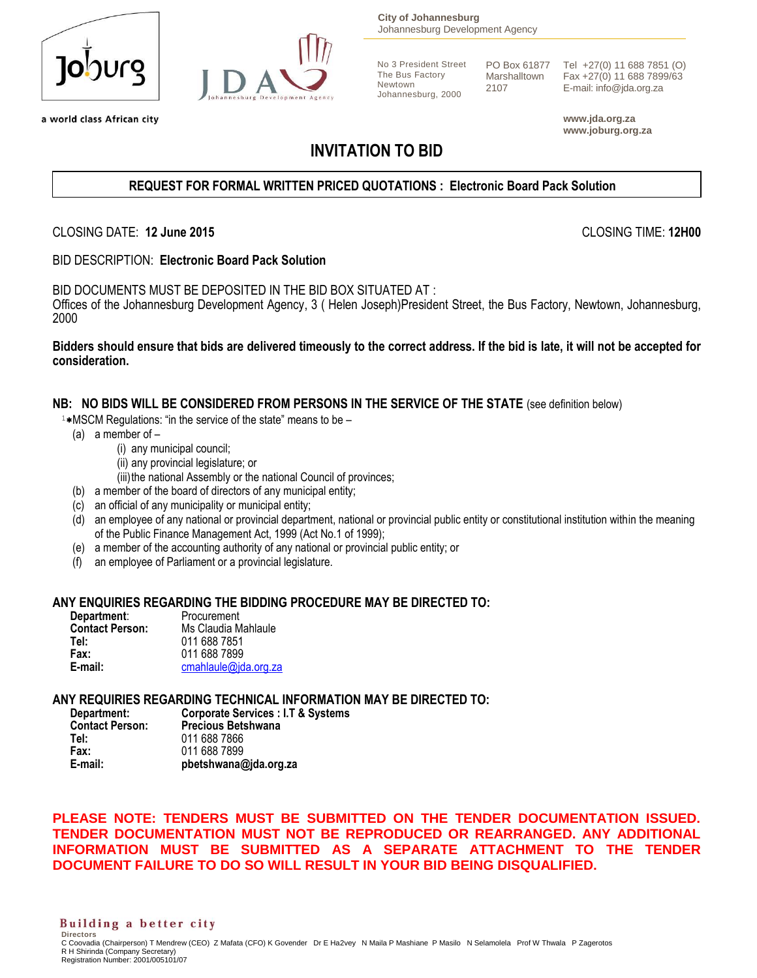

a world class African city



**City of Johannesburg** Johannesburg Development Agency

No 3 President Street The Bus Factory Newtown Johannesburg, 2000

PO Box 61877 Marshalltown 2107

Tel +27(0) 11 688 7851 (O) Fax +27(0) 11 688 7899/63 E-mail: info@jda.org.za

**www.jda.org.za www.joburg.org.za**

# **INVITATION TO BID**

## **REQUEST FOR FORMAL WRITTEN PRICED QUOTATIONS : Electronic Board Pack Solution**

CLOSING DATE: **12 June 2015** CLOSING TIME: **12H00**

BID DESCRIPTION: **Electronic Board Pack Solution** 

BID DOCUMENTS MUST BE DEPOSITED IN THE BID BOX SITUATED AT : Offices of the Johannesburg Development Agency, 3 ( Helen Joseph)President Street, the Bus Factory, Newtown, Johannesburg, 2000

**Bidders should ensure that bids are delivered timeously to the correct address. If the bid is late, it will not be accepted for consideration.**

#### **NB: NO BIDS WILL BE CONSIDERED FROM PERSONS IN THE SERVICE OF THE STATE** (see definition below)

 $1*$ MSCM Regulations: "in the service of the state" means to be  $-$ 

- (a) a member of
	- (i) any municipal council;
	- (ii) any provincial legislature; or
	- (iii) the national Assembly or the national Council of provinces;
- (b) a member of the board of directors of any municipal entity;
- (c) an official of any municipality or municipal entity;
- (d) an employee of any national or provincial department, national or provincial public entity or constitutional institution within the meaning of the Public Finance Management Act, 1999 (Act No.1 of 1999);
- (e) a member of the accounting authority of any national or provincial public entity; or
- (f) an employee of Parliament or a provincial legislature.

#### **ANY ENQUIRIES REGARDING THE BIDDING PROCEDURE MAY BE DIRECTED TO:**

| Department:            | Procurement          |
|------------------------|----------------------|
| <b>Contact Person:</b> | Ms Claudia Mahlaule  |
| Tel:                   | 011 688 7851         |
| Fax:                   | 011 688 7899         |
| E-mail:                | cmahlaule@jda.org.za |

#### **ANY REQUIRIES REGARDING TECHNICAL INFORMATION MAY BE DIRECTED TO:**

| Department:            | <b>Corporate Services : I.T &amp; Systems</b> |
|------------------------|-----------------------------------------------|
| <b>Contact Person:</b> | <b>Precious Betshwana</b>                     |
| Tel:                   | 011 688 7866                                  |
| Fax:                   | 011 688 7899                                  |
| E-mail:                | pbetshwana@jda.org.za                         |

**PLEASE NOTE: TENDERS MUST BE SUBMITTED ON THE TENDER DOCUMENTATION ISSUED. TENDER DOCUMENTATION MUST NOT BE REPRODUCED OR REARRANGED. ANY ADDITIONAL INFORMATION MUST BE SUBMITTED AS A SEPARATE ATTACHMENT TO THE TENDER DOCUMENT FAILURE TO DO SO WILL RESULT IN YOUR BID BEING DISQUALIFIED.**

#### Building a better city **Directors**

C Coovadia (Chairperson) T Mendrew (CEO) Z Mafata (CFO) K Govender Dr E Ha2vey N Maila P Mashiane P Masilo N Selamolela Prof W Thwala P Zagerotos R H Shirinda (Company Secretary) Registration Number: 2001/005101/07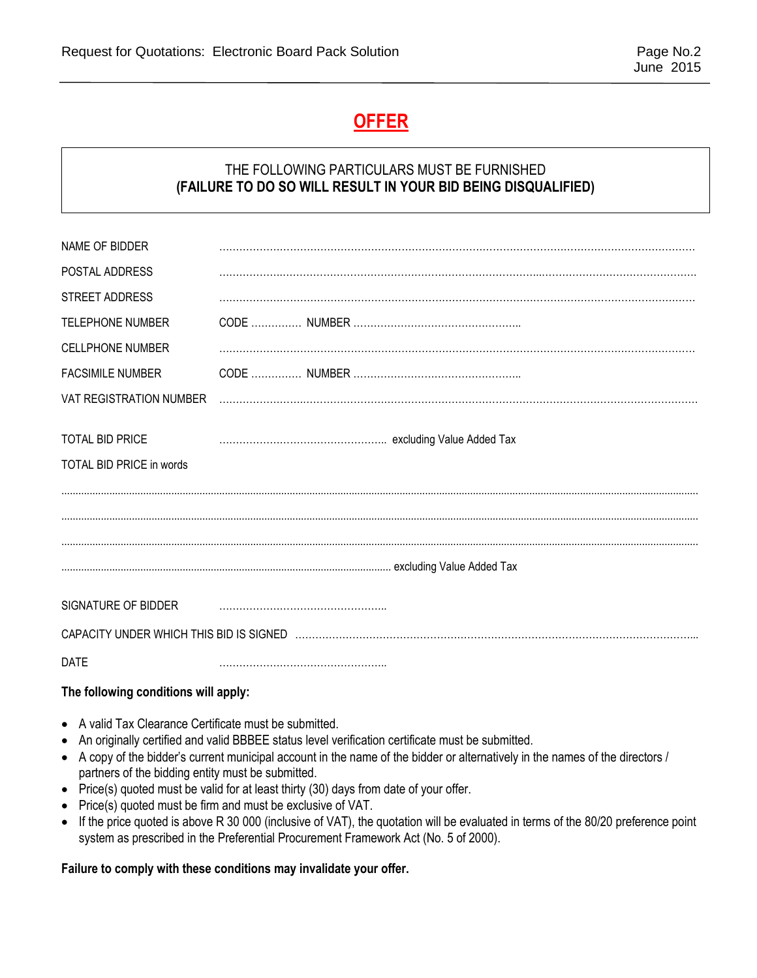# **OFFER**

## THE FOLLOWING PARTICULARS MUST BE FURNISHED **(FAILURE TO DO SO WILL RESULT IN YOUR BID BEING DISQUALIFIED)**

| NAME OF BIDDER                       |  |  |  |
|--------------------------------------|--|--|--|
| POSTAL ADDRESS                       |  |  |  |
| STREET ADDRESS                       |  |  |  |
| <b>TELEPHONE NUMBER</b>              |  |  |  |
| <b>CELLPHONE NUMBER</b>              |  |  |  |
| <b>FACSIMILE NUMBER</b>              |  |  |  |
| VAT REGISTRATION NUMBER              |  |  |  |
|                                      |  |  |  |
| <b>TOTAL BID PRICE</b>               |  |  |  |
| TOTAL BID PRICE in words             |  |  |  |
|                                      |  |  |  |
|                                      |  |  |  |
|                                      |  |  |  |
|                                      |  |  |  |
|                                      |  |  |  |
| SIGNATURE OF BIDDER                  |  |  |  |
|                                      |  |  |  |
| <b>DATE</b>                          |  |  |  |
| The following conditions will apply: |  |  |  |
|                                      |  |  |  |

- A valid Tax Clearance Certificate must be submitted. An originally certified and valid BBBEE status level verification certificate must be submitted.
- A copy of the bidder's current municipal account in the name of the bidder or alternatively in the names of the directors / partners of the bidding entity must be submitted.
- Price(s) quoted must be valid for at least thirty (30) days from date of your offer.
- Price(s) quoted must be firm and must be exclusive of VAT.
- If the price quoted is above R 30 000 (inclusive of VAT), the quotation will be evaluated in terms of the 80/20 preference point system as prescribed in the Preferential Procurement Framework Act (No. 5 of 2000).

### **Failure to comply with these conditions may invalidate your offer.**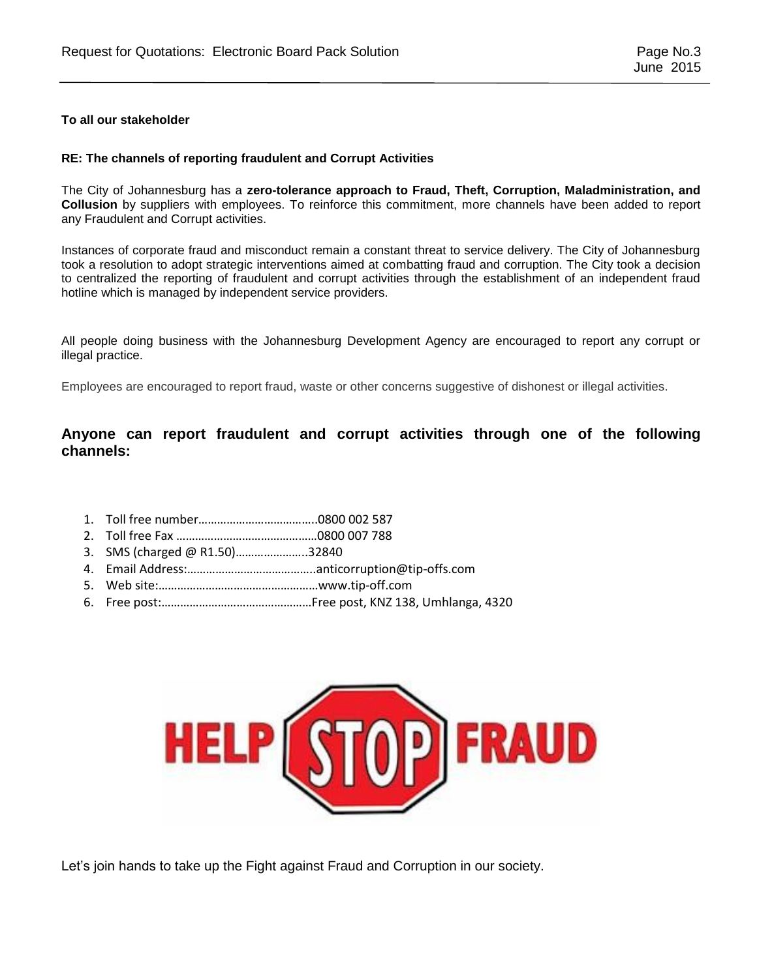#### **To all our stakeholder**

#### **RE: The channels of reporting fraudulent and Corrupt Activities**

The City of Johannesburg has a **zero-tolerance approach to Fraud, Theft, Corruption, Maladministration, and Collusion** by suppliers with employees. To reinforce this commitment, more channels have been added to report any Fraudulent and Corrupt activities.

Instances of corporate fraud and misconduct remain a constant threat to service delivery. The City of Johannesburg took a resolution to adopt strategic interventions aimed at combatting fraud and corruption. The City took a decision to centralized the reporting of fraudulent and corrupt activities through the establishment of an independent fraud hotline which is managed by independent service providers.

All people doing business with the Johannesburg Development Agency are encouraged to report any corrupt or illegal practice.

Employees are encouraged to report fraud, waste or other concerns suggestive of dishonest or illegal activities.

### **Anyone can report fraudulent and corrupt activities through one of the following channels:**

- 1. Toll free number………………………………..0800 002 587
- 2. Toll free Fax ………………………………………0800 007 788
- 3. SMS (charged @ R1.50)…………………..32840
- 4. Email Address:…………………………………..anticorruption@tip-offs.com
- 5. Web site:……………………………………………www.tip-off.com
- 6. Free post:…………………………………………Free post, KNZ 138, Umhlanga, 4320



Let's join hands to take up the Fight against Fraud and Corruption in our society.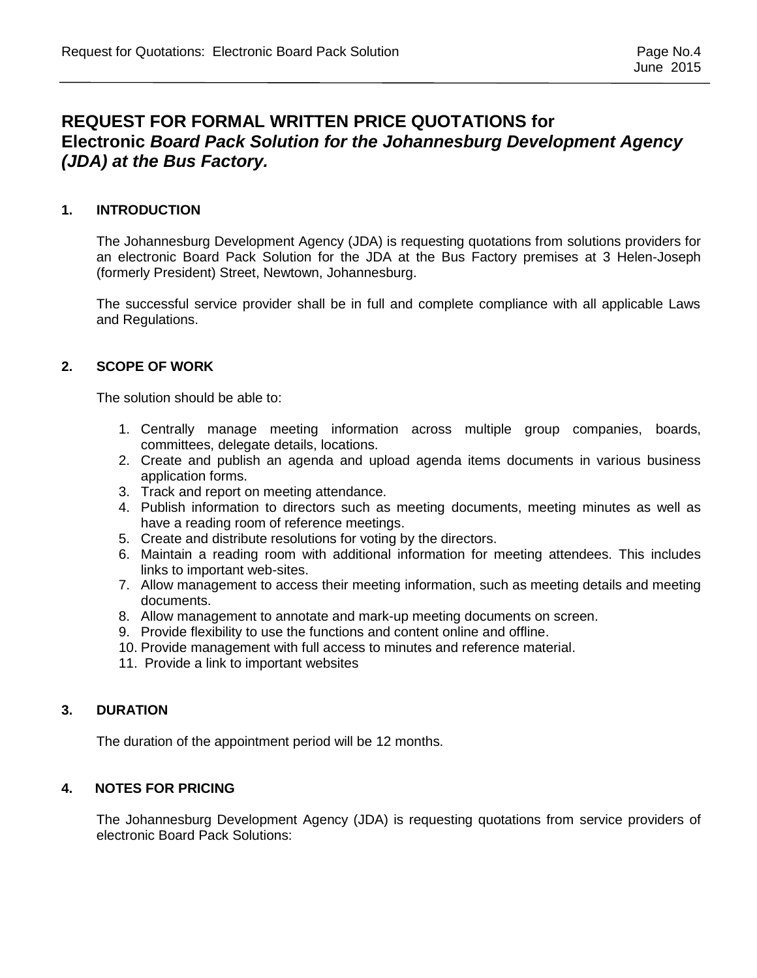## **REQUEST FOR FORMAL WRITTEN PRICE QUOTATIONS for Electronic** *Board Pack Solution for the Johannesburg Development Agency (JDA) at the Bus Factory.*

#### **1. INTRODUCTION**

The Johannesburg Development Agency (JDA) is requesting quotations from solutions providers for an electronic Board Pack Solution for the JDA at the Bus Factory premises at 3 Helen-Joseph (formerly President) Street, Newtown, Johannesburg.

The successful service provider shall be in full and complete compliance with all applicable Laws and Regulations.

#### **2. SCOPE OF WORK**

The solution should be able to:

- 1. Centrally manage meeting information across multiple group companies, boards, committees, delegate details, locations.
- 2. Create and publish an agenda and upload agenda items documents in various business application forms.
- 3. Track and report on meeting attendance.
- 4. Publish information to directors such as meeting documents, meeting minutes as well as have a reading room of reference meetings.
- 5. Create and distribute resolutions for voting by the directors.
- 6. Maintain a reading room with additional information for meeting attendees. This includes links to important web-sites.
- 7. Allow management to access their meeting information, such as meeting details and meeting documents.
- 8. Allow management to annotate and mark-up meeting documents on screen.
- 9. Provide flexibility to use the functions and content online and offline.
- 10. Provide management with full access to minutes and reference material.
- 11. Provide a link to important websites

## **3. DURATION**

The duration of the appointment period will be 12 months.

#### **4. NOTES FOR PRICING**

The Johannesburg Development Agency (JDA) is requesting quotations from service providers of electronic Board Pack Solutions: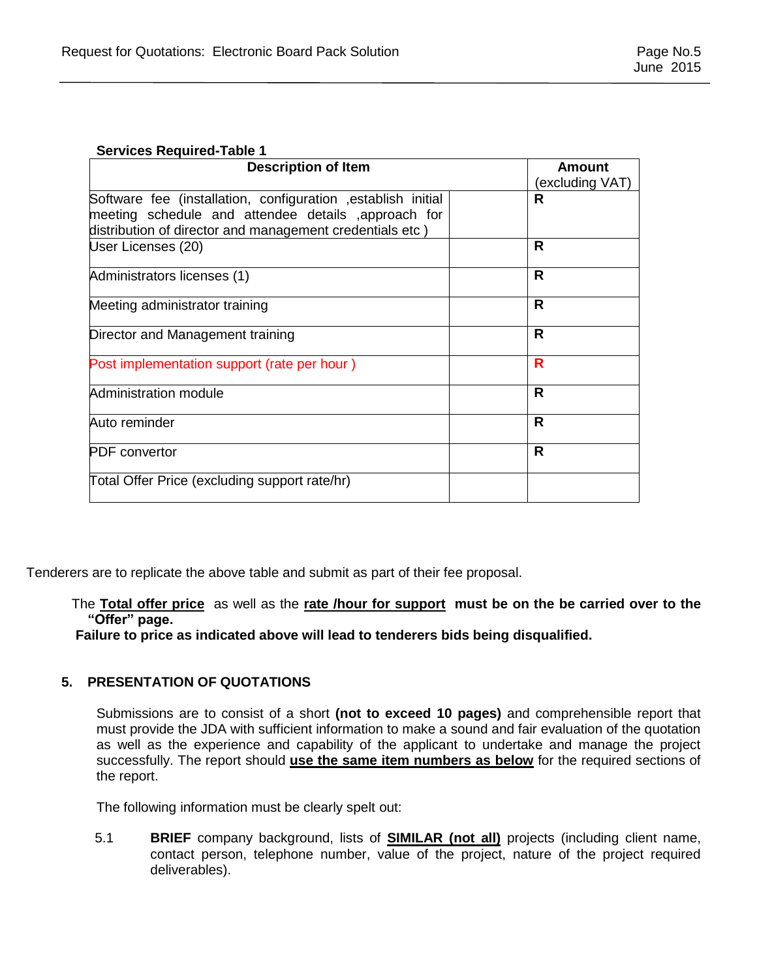#### **Services Required-Table 1**

| <b>Description of Item</b>                                                                                                                                                       | Amount          |
|----------------------------------------------------------------------------------------------------------------------------------------------------------------------------------|-----------------|
|                                                                                                                                                                                  | (excluding VAT) |
| Software fee (installation, configuration , establish initial<br>meeting schedule and attendee details ,approach for<br>distribution of director and management credentials etc) | R               |
| User Licenses (20)                                                                                                                                                               | R               |
| Administrators licenses (1)                                                                                                                                                      | R               |
| Meeting administrator training                                                                                                                                                   | R               |
| Director and Management training                                                                                                                                                 | R               |
| Post implementation support (rate per hour)                                                                                                                                      | R               |
| Administration module                                                                                                                                                            | R               |
| Auto reminder                                                                                                                                                                    | R               |
| <b>PDF</b> convertor                                                                                                                                                             | R               |
| Total Offer Price (excluding support rate/hr)                                                                                                                                    |                 |

Tenderers are to replicate the above table and submit as part of their fee proposal.

#### The **Total offer price** as well as the **rate /hour for support must be on the be carried over to the "Offer" page.**

 **Failure to price as indicated above will lead to tenderers bids being disqualified.**

### **5. PRESENTATION OF QUOTATIONS**

Submissions are to consist of a short **(not to exceed 10 pages)** and comprehensible report that must provide the JDA with sufficient information to make a sound and fair evaluation of the quotation as well as the experience and capability of the applicant to undertake and manage the project successfully. The report should **use the same item numbers as below** for the required sections of the report.

The following information must be clearly spelt out:

5.1 **BRIEF** company background, lists of **SIMILAR (not all)** projects (including client name, contact person, telephone number, value of the project, nature of the project required deliverables).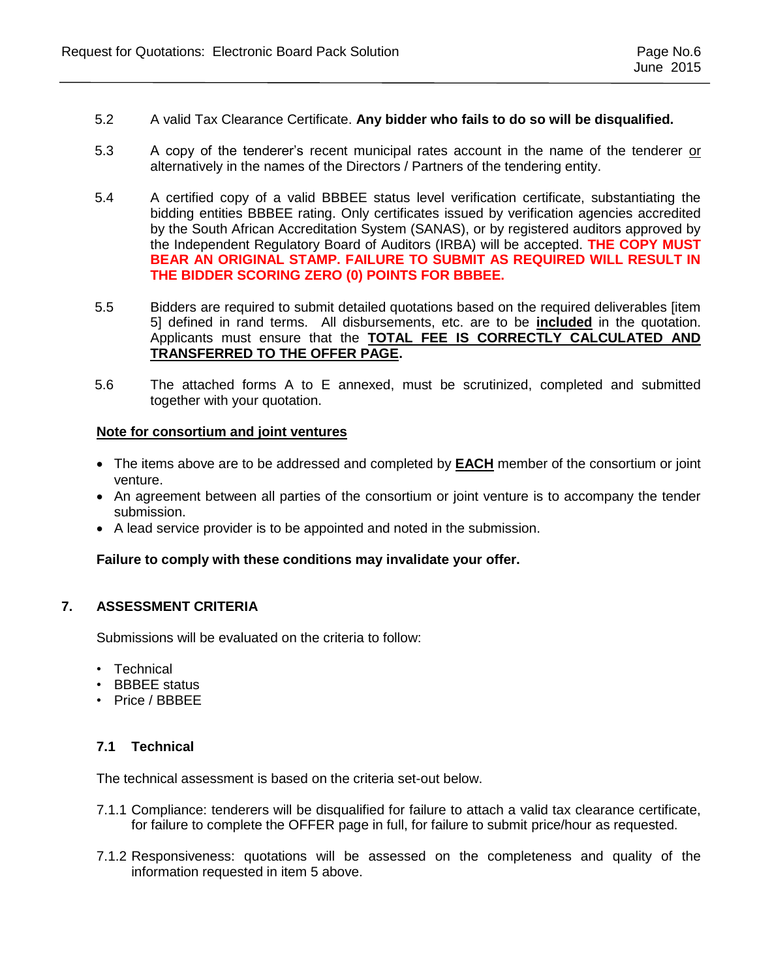- 5.2 A valid Tax Clearance Certificate. **Any bidder who fails to do so will be disqualified.**
- 5.3 A copy of the tenderer's recent municipal rates account in the name of the tenderer or alternatively in the names of the Directors / Partners of the tendering entity.
- 5.4 A certified copy of a valid BBBEE status level verification certificate, substantiating the bidding entities BBBEE rating. Only certificates issued by verification agencies accredited by the South African Accreditation System (SANAS), or by registered auditors approved by the Independent Regulatory Board of Auditors (IRBA) will be accepted. **THE COPY MUST BEAR AN ORIGINAL STAMP. FAILURE TO SUBMIT AS REQUIRED WILL RESULT IN THE BIDDER SCORING ZERO (0) POINTS FOR BBBEE.**
- 5.5 Bidders are required to submit detailed quotations based on the required deliverables [item 5] defined in rand terms. All disbursements, etc. are to be **included** in the quotation. Applicants must ensure that the **TOTAL FEE IS CORRECTLY CALCULATED AND TRANSFERRED TO THE OFFER PAGE.**
- 5.6 The attached forms A to E annexed, must be scrutinized, completed and submitted together with your quotation.

#### **Note for consortium and joint ventures**

- The items above are to be addressed and completed by **EACH** member of the consortium or joint venture.
- An agreement between all parties of the consortium or joint venture is to accompany the tender submission.
- A lead service provider is to be appointed and noted in the submission.

### **Failure to comply with these conditions may invalidate your offer.**

### **7. ASSESSMENT CRITERIA**

Submissions will be evaluated on the criteria to follow:

- Technical
- BBBEE status
- Price / BBBEE

### **7.1 Technical**

The technical assessment is based on the criteria set-out below.

- 7.1.1 Compliance: tenderers will be disqualified for failure to attach a valid tax clearance certificate, for failure to complete the OFFER page in full, for failure to submit price/hour as requested.
- 7.1.2 Responsiveness: quotations will be assessed on the completeness and quality of the information requested in item 5 above.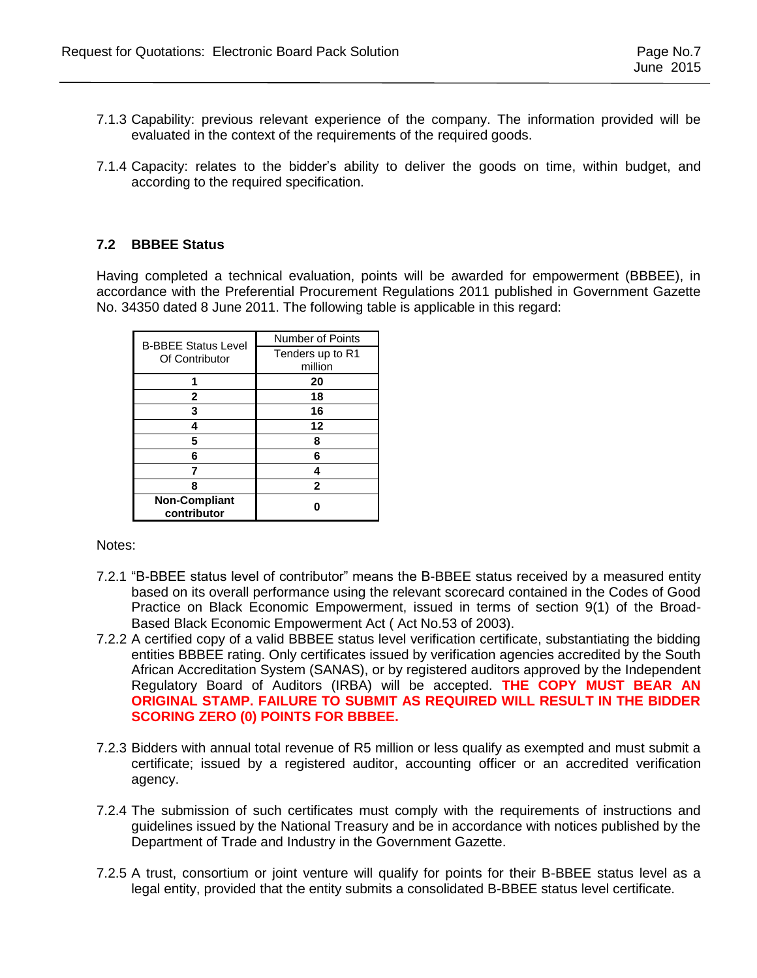- 7.1.3 Capability: previous relevant experience of the company. The information provided will be evaluated in the context of the requirements of the required goods.
- 7.1.4 Capacity: relates to the bidder's ability to deliver the goods on time, within budget, and according to the required specification.

### **7.2 BBBEE Status**

Having completed a technical evaluation, points will be awarded for empowerment (BBBEE), in accordance with the Preferential Procurement Regulations 2011 published in Government Gazette No. 34350 dated 8 June 2011. The following table is applicable in this regard:

| <b>B-BBEE Status Level</b> | <b>Number of Points</b> |
|----------------------------|-------------------------|
| Of Contributor             | Tenders up to R1        |
|                            | million                 |
|                            | 20                      |
| 2                          | 18                      |
| 3                          | 16                      |
|                            | 12                      |
| 5                          | 8                       |
| 6                          | 6                       |
|                            | 4                       |
| 8                          | $\mathbf{2}$            |
| <b>Non-Compliant</b>       |                         |
| contributor                |                         |

Notes:

- 7.2.1 "B-BBEE status level of contributor" means the B-BBEE status received by a measured entity based on its overall performance using the relevant scorecard contained in the Codes of Good Practice on Black Economic Empowerment, issued in terms of section 9(1) of the Broad-Based Black Economic Empowerment Act ( Act No.53 of 2003).
- 7.2.2 A certified copy of a valid BBBEE status level verification certificate, substantiating the bidding entities BBBEE rating. Only certificates issued by verification agencies accredited by the South African Accreditation System (SANAS), or by registered auditors approved by the Independent Regulatory Board of Auditors (IRBA) will be accepted. **THE COPY MUST BEAR AN ORIGINAL STAMP. FAILURE TO SUBMIT AS REQUIRED WILL RESULT IN THE BIDDER SCORING ZERO (0) POINTS FOR BBBEE.**
- 7.2.3 Bidders with annual total revenue of R5 million or less qualify as exempted and must submit a certificate; issued by a registered auditor, accounting officer or an accredited verification agency.
- 7.2.4 The submission of such certificates must comply with the requirements of instructions and guidelines issued by the National Treasury and be in accordance with notices published by the Department of Trade and Industry in the Government Gazette.
- 7.2.5 A trust, consortium or joint venture will qualify for points for their B-BBEE status level as a legal entity, provided that the entity submits a consolidated B-BBEE status level certificate.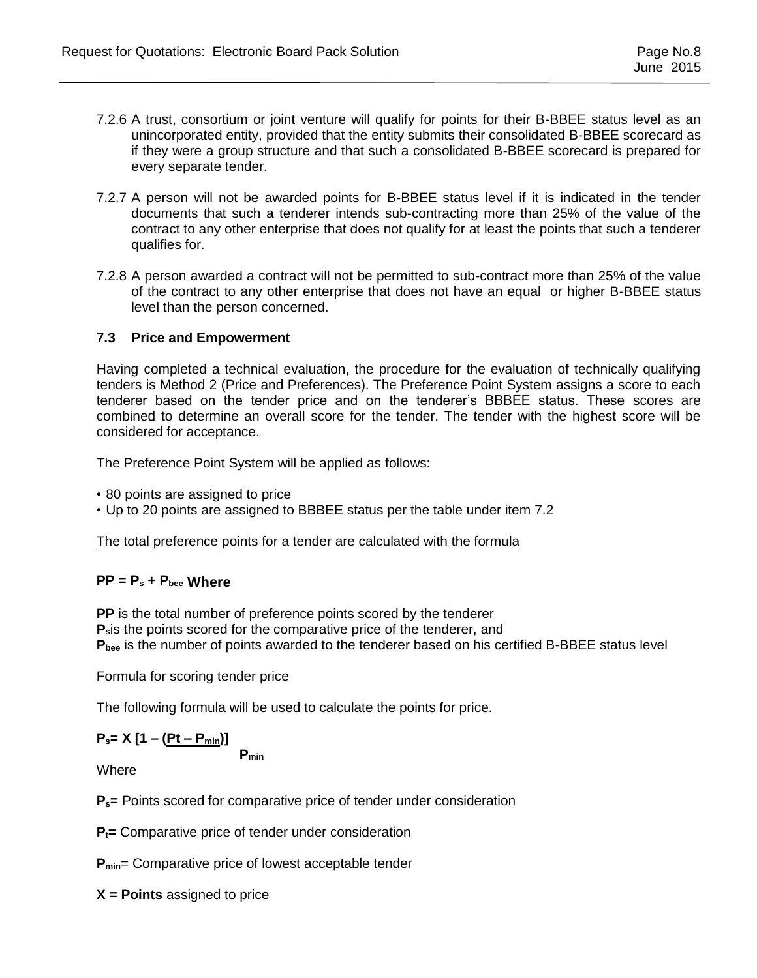- 7.2.6 A trust, consortium or joint venture will qualify for points for their B-BBEE status level as an unincorporated entity, provided that the entity submits their consolidated B-BBEE scorecard as if they were a group structure and that such a consolidated B-BBEE scorecard is prepared for every separate tender.
- 7.2.7 A person will not be awarded points for B-BBEE status level if it is indicated in the tender documents that such a tenderer intends sub-contracting more than 25% of the value of the contract to any other enterprise that does not qualify for at least the points that such a tenderer qualifies for.
- 7.2.8 A person awarded a contract will not be permitted to sub-contract more than 25% of the value of the contract to any other enterprise that does not have an equal or higher B-BBEE status level than the person concerned.

### **7.3 Price and Empowerment**

Having completed a technical evaluation, the procedure for the evaluation of technically qualifying tenders is Method 2 (Price and Preferences). The Preference Point System assigns a score to each tenderer based on the tender price and on the tenderer's BBBEE status. These scores are combined to determine an overall score for the tender. The tender with the highest score will be considered for acceptance.

The Preference Point System will be applied as follows:

• 80 points are assigned to price

• Up to 20 points are assigned to BBBEE status per the table under item 7.2

The total preference points for a tender are calculated with the formula

### **PP = P<sup>s</sup> + Pbee Where**

**PP** is the total number of preference points scored by the tenderer **Ps**is the points scored for the comparative price of the tenderer, and **Pbee** is the number of points awarded to the tenderer based on his certified B-BBEE status level

#### Formula for scoring tender price

The following formula will be used to calculate the points for price.

 $P_s = X [1 - (Pt - P_{min})]$ 

**Pmin**

Where

**Ps=** Points scored for comparative price of tender under consideration

**Pt=** Comparative price of tender under consideration

**P**<sub>min</sub>= Comparative price of lowest acceptable tender

**X = Points** assigned to price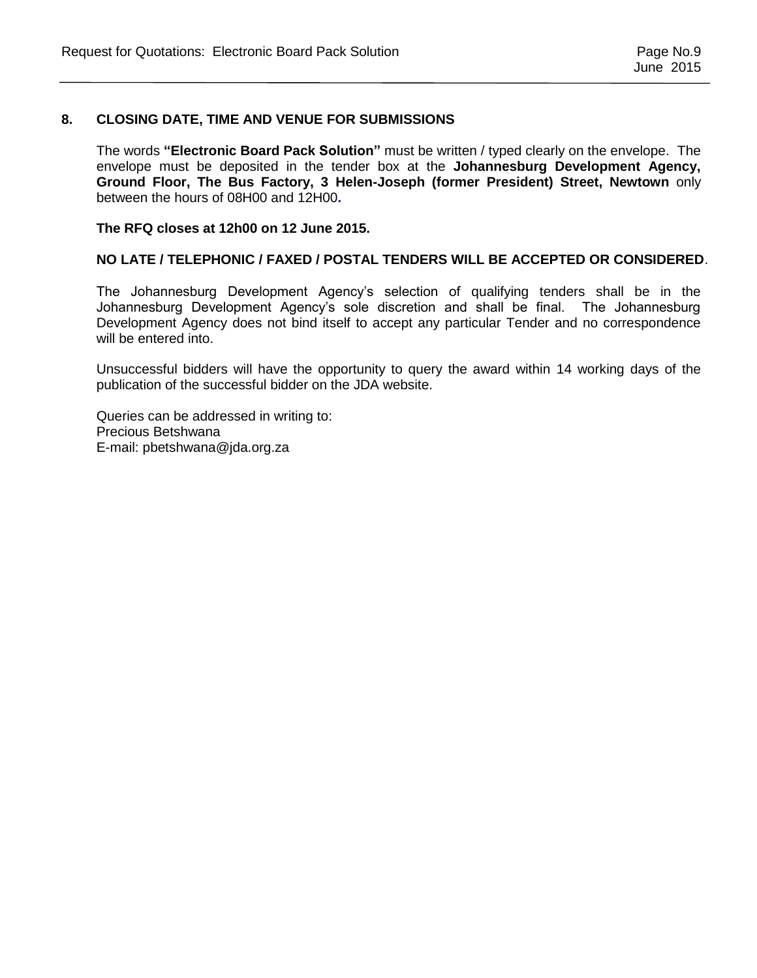#### **8. CLOSING DATE, TIME AND VENUE FOR SUBMISSIONS**

The words **"Electronic Board Pack Solution"** must be written / typed clearly on the envelope. The envelope must be deposited in the tender box at the **Johannesburg Development Agency, Ground Floor, The Bus Factory, 3 Helen-Joseph (former President) Street, Newtown** only between the hours of 08H00 and 12H00**.** 

**The RFQ closes at 12h00 on 12 June 2015.** 

#### **NO LATE / TELEPHONIC / FAXED / POSTAL TENDERS WILL BE ACCEPTED OR CONSIDERED**.

The Johannesburg Development Agency's selection of qualifying tenders shall be in the Johannesburg Development Agency's sole discretion and shall be final. The Johannesburg Development Agency does not bind itself to accept any particular Tender and no correspondence will be entered into.

Unsuccessful bidders will have the opportunity to query the award within 14 working days of the publication of the successful bidder on the JDA website.

Queries can be addressed in writing to: Precious Betshwana E-mail: pbetshwana@jda.org.za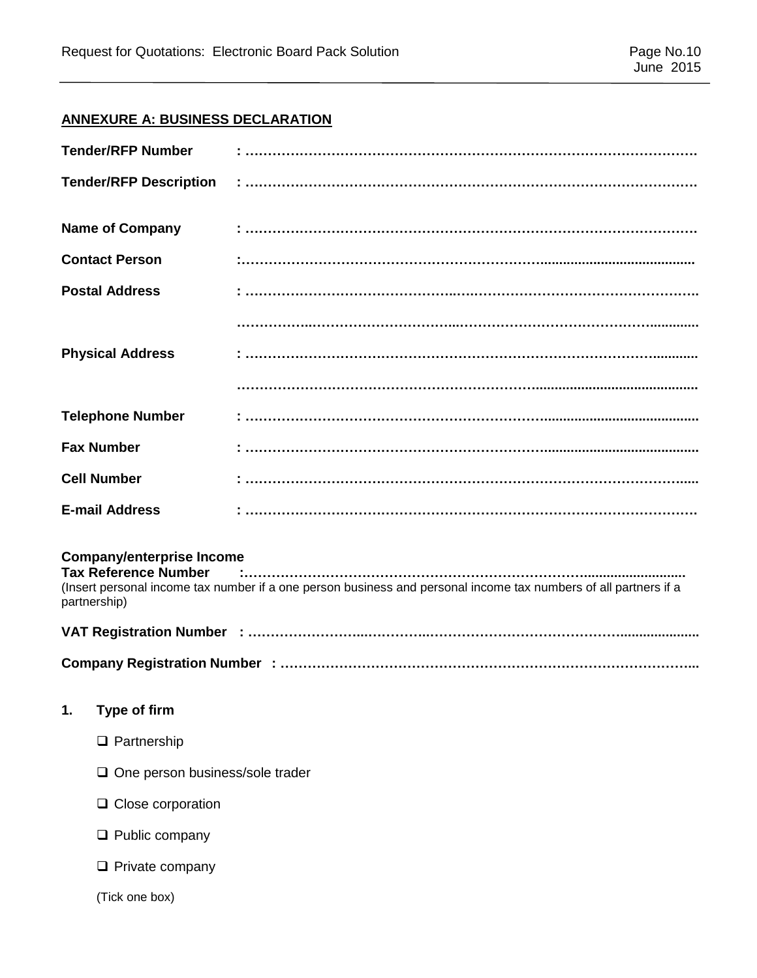## **ANNEXURE A: BUSINESS DECLARATION**

| <b>Tender/RFP Number</b>                                                        |                                                                                                                  |  |  |  |
|---------------------------------------------------------------------------------|------------------------------------------------------------------------------------------------------------------|--|--|--|
| <b>Tender/RFP Description</b>                                                   |                                                                                                                  |  |  |  |
| <b>Name of Company</b>                                                          |                                                                                                                  |  |  |  |
| <b>Contact Person</b>                                                           |                                                                                                                  |  |  |  |
| <b>Postal Address</b>                                                           |                                                                                                                  |  |  |  |
|                                                                                 |                                                                                                                  |  |  |  |
| <b>Physical Address</b>                                                         |                                                                                                                  |  |  |  |
|                                                                                 |                                                                                                                  |  |  |  |
| <b>Telephone Number</b>                                                         |                                                                                                                  |  |  |  |
| <b>Fax Number</b>                                                               |                                                                                                                  |  |  |  |
| <b>Cell Number</b>                                                              |                                                                                                                  |  |  |  |
| <b>E-mail Address</b>                                                           |                                                                                                                  |  |  |  |
| <b>Company/enterprise Income</b><br><b>Tax Reference Number</b><br>partnership) | (Insert personal income tax number if a one person business and personal income tax numbers of all partners if a |  |  |  |
|                                                                                 |                                                                                                                  |  |  |  |
|                                                                                 |                                                                                                                  |  |  |  |
| Type of firm<br>1.                                                              |                                                                                                                  |  |  |  |
| $\Box$ Partnership                                                              |                                                                                                                  |  |  |  |
| $\square$ One person business/sole trader                                       |                                                                                                                  |  |  |  |
| $\Box$ Close corporation                                                        |                                                                                                                  |  |  |  |
| $\Box$ Public company                                                           |                                                                                                                  |  |  |  |
| $\Box$ Private company                                                          |                                                                                                                  |  |  |  |
| (Tick one box)                                                                  |                                                                                                                  |  |  |  |
|                                                                                 |                                                                                                                  |  |  |  |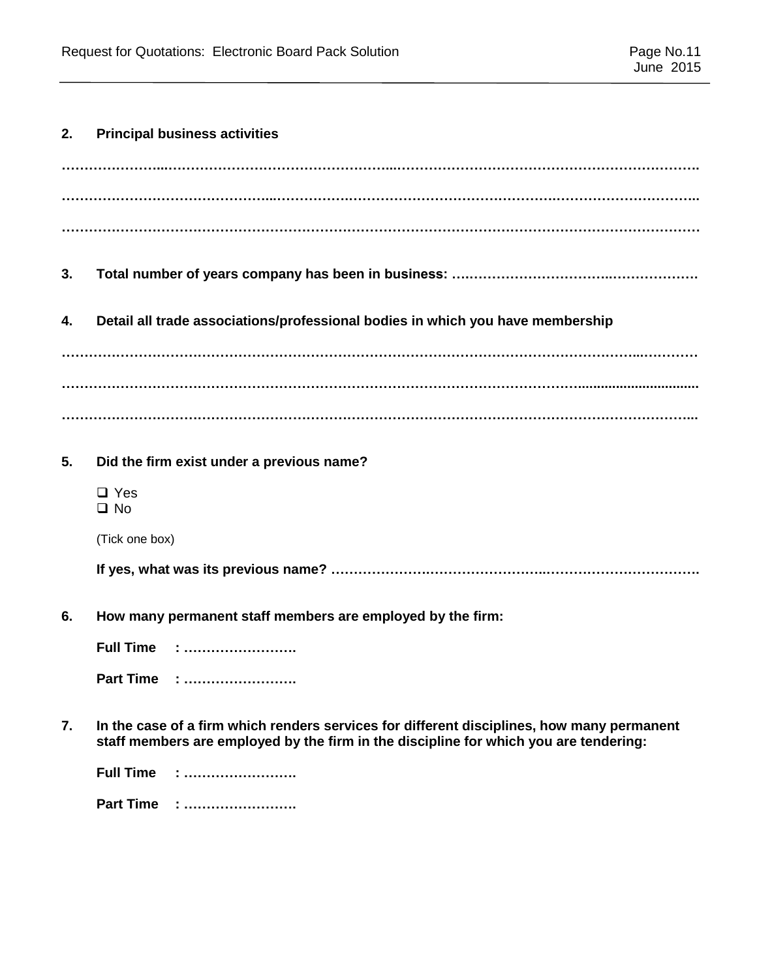# **2. Principal business activities**

| 3.             |                                                                                                                                                                                     |
|----------------|-------------------------------------------------------------------------------------------------------------------------------------------------------------------------------------|
| 4.             | Detail all trade associations/professional bodies in which you have membership                                                                                                      |
|                |                                                                                                                                                                                     |
|                |                                                                                                                                                                                     |
| 5 <sub>1</sub> | Did the firm exist under a previous name?                                                                                                                                           |
|                |                                                                                                                                                                                     |
|                | $\Box$ Yes<br>$\Box$ No                                                                                                                                                             |
|                | (Tick one box)                                                                                                                                                                      |
|                |                                                                                                                                                                                     |
| 6.             | How many permanent staff members are employed by the firm:                                                                                                                          |
|                | <b>Full Time : </b>                                                                                                                                                                 |
|                | Part Time :                                                                                                                                                                         |
| 7.             | In the case of a firm which renders services for different disciplines, how many permanent<br>staff members are employed by the firm in the discipline for which you are tendering: |

**Part Time : …………………….**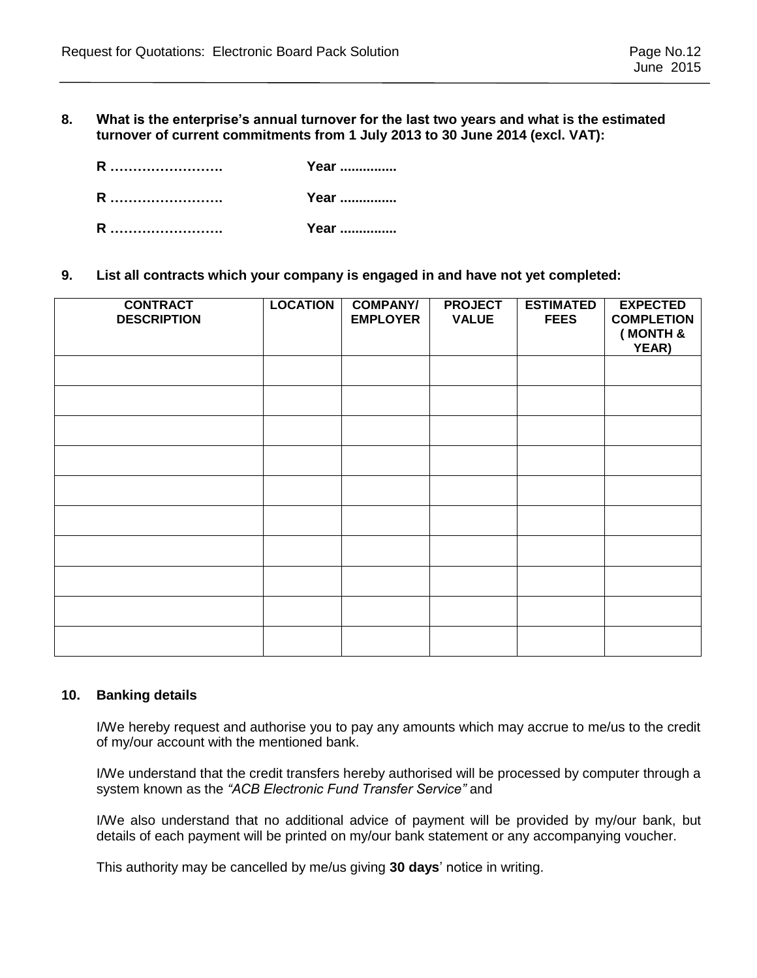**8. What is the enterprise's annual turnover for the last two years and what is the estimated turnover of current commitments from 1 July 2013 to 30 June 2014 (excl. VAT):** 

| R | Year |
|---|------|
| R | Year |
| R | Year |

**9. List all contracts which your company is engaged in and have not yet completed:**

| <b>CONTRACT</b><br><b>DESCRIPTION</b> | <b>LOCATION</b> | <b>COMPANY/</b><br><b>EMPLOYER</b> | <b>PROJECT</b><br><b>VALUE</b> | <b>ESTIMATED</b><br><b>FEES</b> | <b>EXPECTED</b><br><b>COMPLETION</b><br>(MONTH &<br>YEAR) |
|---------------------------------------|-----------------|------------------------------------|--------------------------------|---------------------------------|-----------------------------------------------------------|
|                                       |                 |                                    |                                |                                 |                                                           |
|                                       |                 |                                    |                                |                                 |                                                           |
|                                       |                 |                                    |                                |                                 |                                                           |
|                                       |                 |                                    |                                |                                 |                                                           |
|                                       |                 |                                    |                                |                                 |                                                           |
|                                       |                 |                                    |                                |                                 |                                                           |
|                                       |                 |                                    |                                |                                 |                                                           |
|                                       |                 |                                    |                                |                                 |                                                           |
|                                       |                 |                                    |                                |                                 |                                                           |
|                                       |                 |                                    |                                |                                 |                                                           |

#### **10. Banking details**

I/We hereby request and authorise you to pay any amounts which may accrue to me/us to the credit of my/our account with the mentioned bank.

I/We understand that the credit transfers hereby authorised will be processed by computer through a system known as the *"ACB Electronic Fund Transfer Service"* and

I/We also understand that no additional advice of payment will be provided by my/our bank, but details of each payment will be printed on my/our bank statement or any accompanying voucher.

This authority may be cancelled by me/us giving **30 days**' notice in writing.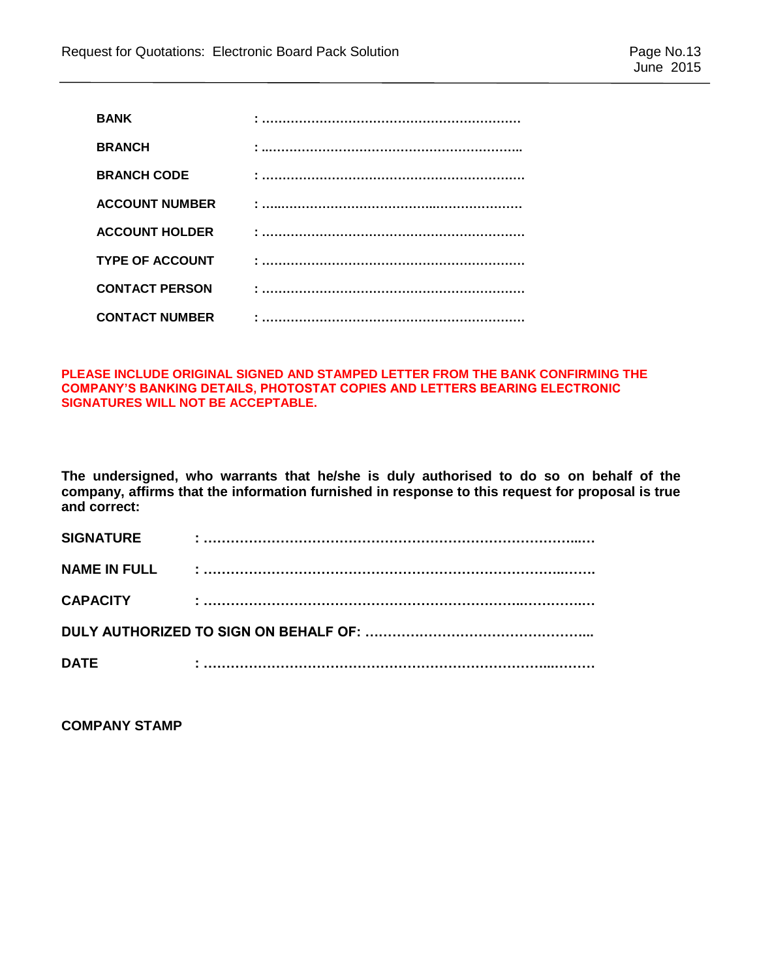| <b>BANK</b>            |  |
|------------------------|--|
| <b>BRANCH</b>          |  |
| <b>BRANCH CODE</b>     |  |
| <b>ACCOUNT NUMBER</b>  |  |
| <b>ACCOUNT HOLDER</b>  |  |
| <b>TYPE OF ACCOUNT</b> |  |
| <b>CONTACT PERSON</b>  |  |
| <b>CONTACT NUMBER</b>  |  |

#### **PLEASE INCLUDE ORIGINAL SIGNED AND STAMPED LETTER FROM THE BANK CONFIRMING THE COMPANY'S BANKING DETAILS, PHOTOSTAT COPIES AND LETTERS BEARING ELECTRONIC SIGNATURES WILL NOT BE ACCEPTABLE.**

**The undersigned, who warrants that he/she is duly authorised to do so on behalf of the company, affirms that the information furnished in response to this request for proposal is true and correct:**

| <b>SIGNATURE</b>    |  |  |  |  |  |
|---------------------|--|--|--|--|--|
| <b>NAME IN FULL</b> |  |  |  |  |  |
| <b>CAPACITY</b>     |  |  |  |  |  |
|                     |  |  |  |  |  |
| <b>DATE</b>         |  |  |  |  |  |

**COMPANY STAMP**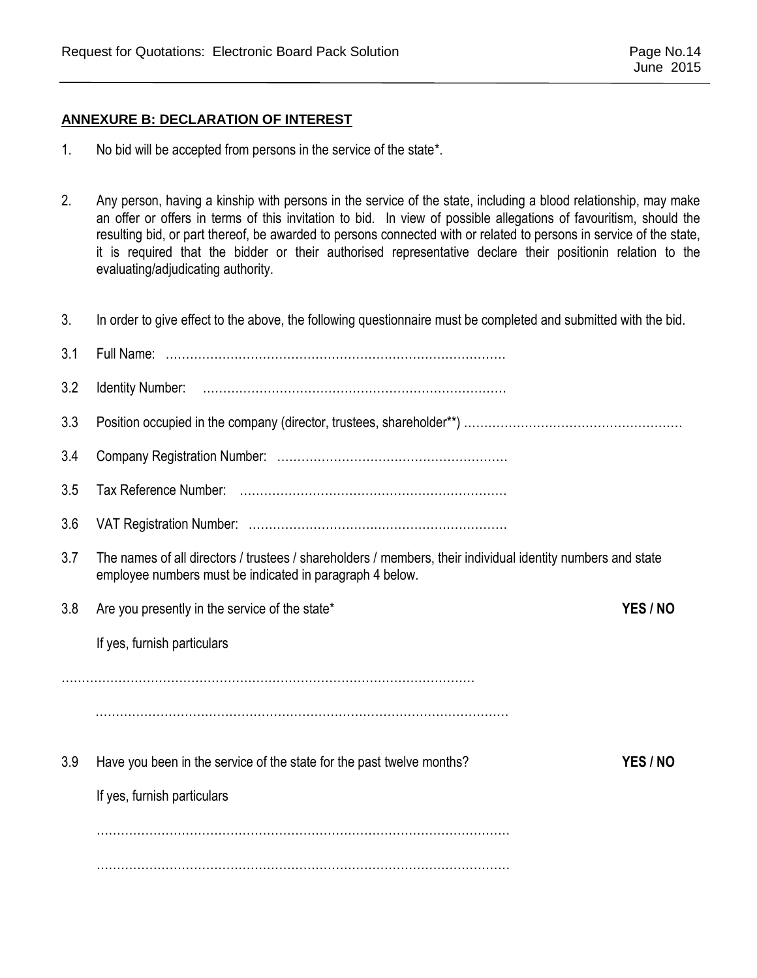## **ANNEXURE B: DECLARATION OF INTEREST**

- 1. No bid will be accepted from persons in the service of the state\*.
- 2. Any person, having a kinship with persons in the service of the state, including a blood relationship, may make an offer or offers in terms of this invitation to bid. In view of possible allegations of favouritism, should the resulting bid, or part thereof, be awarded to persons connected with or related to persons in service of the state, it is required that the bidder or their authorised representative declare their positionin relation to the evaluating/adjudicating authority.
- 3. In order to give effect to the above, the following questionnaire must be completed and submitted with the bid.

| 3.1 |                                                                                                                                                                         |          |
|-----|-------------------------------------------------------------------------------------------------------------------------------------------------------------------------|----------|
| 3.2 |                                                                                                                                                                         |          |
| 3.3 |                                                                                                                                                                         |          |
| 3.4 |                                                                                                                                                                         |          |
| 3.5 |                                                                                                                                                                         |          |
| 3.6 |                                                                                                                                                                         |          |
| 3.7 | The names of all directors / trustees / shareholders / members, their individual identity numbers and state<br>employee numbers must be indicated in paragraph 4 below. |          |
| 3.8 | Are you presently in the service of the state*                                                                                                                          | YES / NO |
|     | If yes, furnish particulars                                                                                                                                             |          |
|     |                                                                                                                                                                         |          |
|     |                                                                                                                                                                         |          |
|     |                                                                                                                                                                         |          |
| 3.9 | Have you been in the service of the state for the past twelve months?                                                                                                   | YES / NO |
|     | If yes, furnish particulars                                                                                                                                             |          |
|     |                                                                                                                                                                         |          |
|     |                                                                                                                                                                         |          |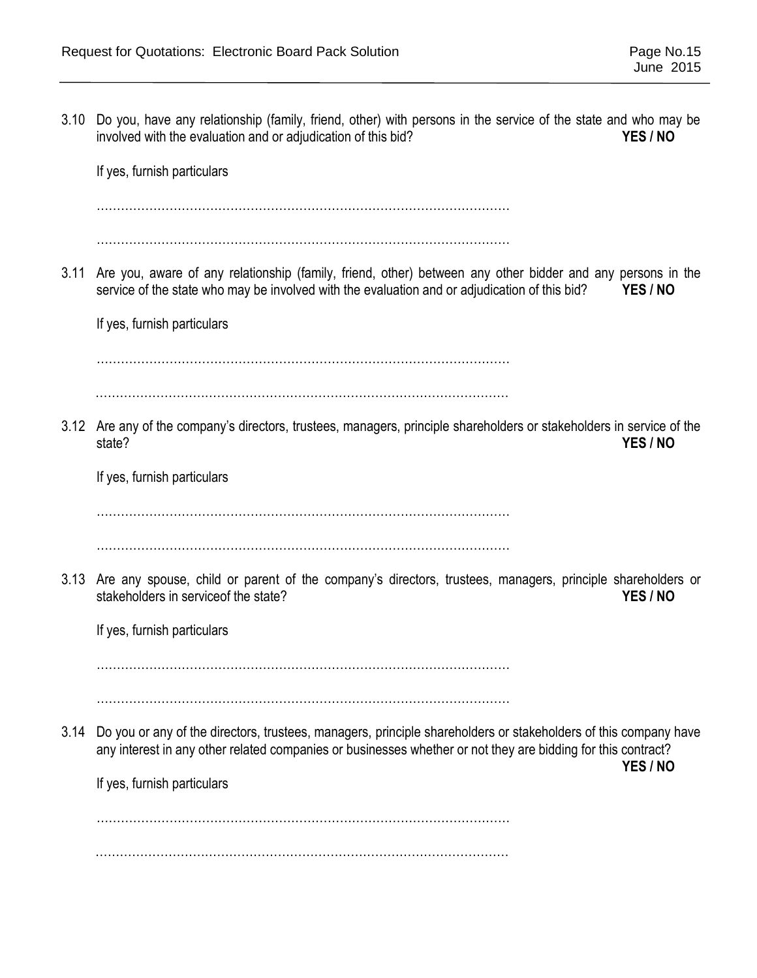3.10 Do you, have any relationship (family, friend, other) with persons in the service of the state and who may be involved with the evaluation and or adjudication of this bid? **YES / NO** If yes, furnish particulars ………………………………………………………………………………………… ………………………………………………………………………………………… 3.11 Are you, aware of any relationship (family, friend, other) between any other bidder and any persons in the service of the state who may be involved with the evaluation and or adjudication of this bid? **YES / NO** If yes, furnish particulars ………………………………………………………………………………………… ………………………………………………………………………………………… 3.12 Are any of the company's directors, trustees, managers, principle shareholders or stakeholders in service of the state? **YES / NO** If yes, furnish particulars ………………………………………………………………………………………… ………………………………………………………………………………………… 3.13 Are any spouse, child or parent of the company's directors, trustees, managers, principle shareholders or stakeholders in serviceof the state? **YES / NO** If yes, furnish particulars ………………………………………………………………………………………… ………………………………………………………………………………………… 3.14 Do you or any of the directors, trustees, managers, principle shareholders or stakeholders of this company have any interest in any other related companies or businesses whether or not they are bidding for this contract? **YES / NO** If yes, furnish particulars ………………………………………………………………………………………… …………………………………………………………………………………………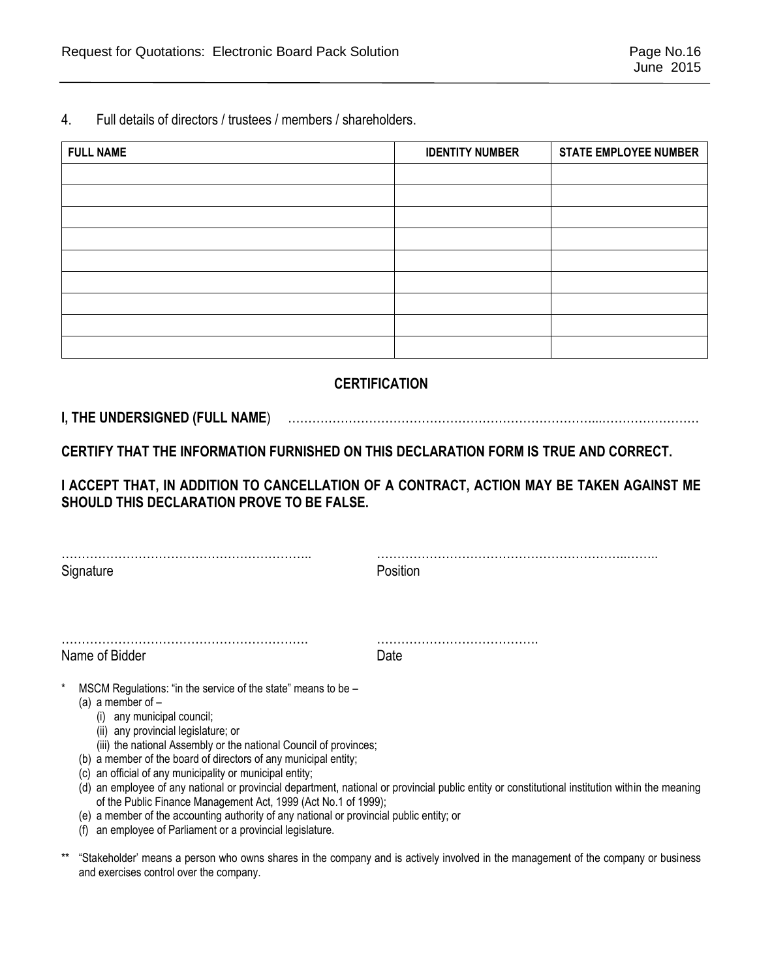4. Full details of directors / trustees / members / shareholders.

| <b>FULL NAME</b> | <b>IDENTITY NUMBER</b> | <b>STATE EMPLOYEE NUMBER</b> |
|------------------|------------------------|------------------------------|
|                  |                        |                              |
|                  |                        |                              |
|                  |                        |                              |
|                  |                        |                              |
|                  |                        |                              |
|                  |                        |                              |
|                  |                        |                              |
|                  |                        |                              |
|                  |                        |                              |

## **CERTIFICATION**

## **I, THE UNDERSIGNED (FULL NAME**) …………………………………………………………………...……………………

**CERTIFY THAT THE INFORMATION FURNISHED ON THIS DECLARATION FORM IS TRUE AND CORRECT.** 

**I ACCEPT THAT, IN ADDITION TO CANCELLATION OF A CONTRACT, ACTION MAY BE TAKEN AGAINST ME SHOULD THIS DECLARATION PROVE TO BE FALSE.** 

 $\mathcal{L}^{\text{max}}_{\text{max}}$ Signature **Position** 

……………………………………………………. …………………………………. Name of Bidder **Date** 

MSCM Regulations: "in the service of the state" means to be –

- (a) a member of  $-$ 
	- (i) any municipal council;
	- (ii) any provincial legislature; or
	- (iii) the national Assembly or the national Council of provinces;
- (b) a member of the board of directors of any municipal entity;
- (c) an official of any municipality or municipal entity;
- (d) an employee of any national or provincial department, national or provincial public entity or constitutional institution within the meaning of the Public Finance Management Act, 1999 (Act No.1 of 1999);
- (e) a member of the accounting authority of any national or provincial public entity; or
- (f) an employee of Parliament or a provincial legislature.
- \*\* "Stakeholder' means a person who owns shares in the company and is actively involved in the management of the company or business and exercises control over the company.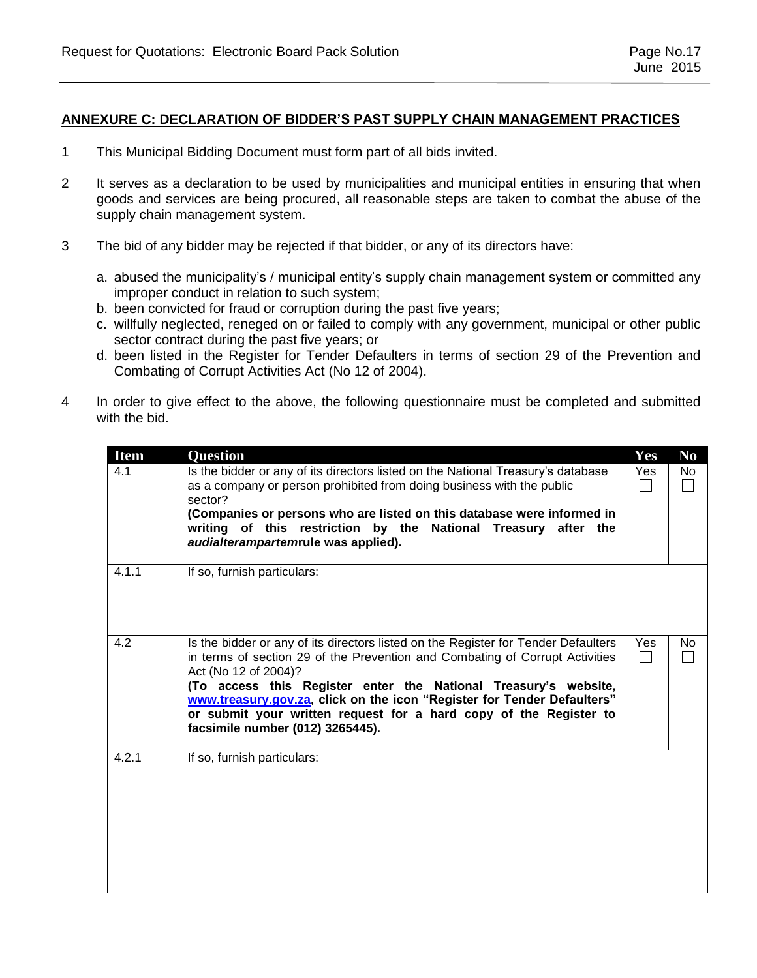#### **ANNEXURE C: DECLARATION OF BIDDER'S PAST SUPPLY CHAIN MANAGEMENT PRACTICES**

- 1 This Municipal Bidding Document must form part of all bids invited.
- 2 It serves as a declaration to be used by municipalities and municipal entities in ensuring that when goods and services are being procured, all reasonable steps are taken to combat the abuse of the supply chain management system.
- 3 The bid of any bidder may be rejected if that bidder, or any of its directors have:
	- a. abused the municipality's / municipal entity's supply chain management system or committed any improper conduct in relation to such system;
	- b. been convicted for fraud or corruption during the past five years;
	- c. willfully neglected, reneged on or failed to comply with any government, municipal or other public sector contract during the past five years; or
	- d. been listed in the Register for Tender Defaulters in terms of section 29 of the Prevention and Combating of Corrupt Activities Act (No 12 of 2004).
- 4 In order to give effect to the above, the following questionnaire must be completed and submitted with the bid.

| <b>Item</b> | <b>Question</b>                                                                                                                                                                                                                                                                                                                                                                                                                                   | Yes | N <sub>0</sub> |
|-------------|---------------------------------------------------------------------------------------------------------------------------------------------------------------------------------------------------------------------------------------------------------------------------------------------------------------------------------------------------------------------------------------------------------------------------------------------------|-----|----------------|
| 4.1         | Is the bidder or any of its directors listed on the National Treasury's database<br>as a company or person prohibited from doing business with the public<br>sector?<br>(Companies or persons who are listed on this database were informed in<br>writing of this restriction by the National Treasury after the<br>audialterampartemrule was applied).                                                                                           | Yes | No.            |
| 4.1.1       | If so, furnish particulars:                                                                                                                                                                                                                                                                                                                                                                                                                       |     |                |
| 4.2         | Is the bidder or any of its directors listed on the Register for Tender Defaulters<br>in terms of section 29 of the Prevention and Combating of Corrupt Activities<br>Act (No 12 of 2004)?<br>(To access this Register enter the National Treasury's website,<br>www.treasury.gov.za, click on the icon "Register for Tender Defaulters"<br>or submit your written request for a hard copy of the Register to<br>facsimile number (012) 3265445). | Yes | No.            |
| 4.2.1       | If so, furnish particulars:                                                                                                                                                                                                                                                                                                                                                                                                                       |     |                |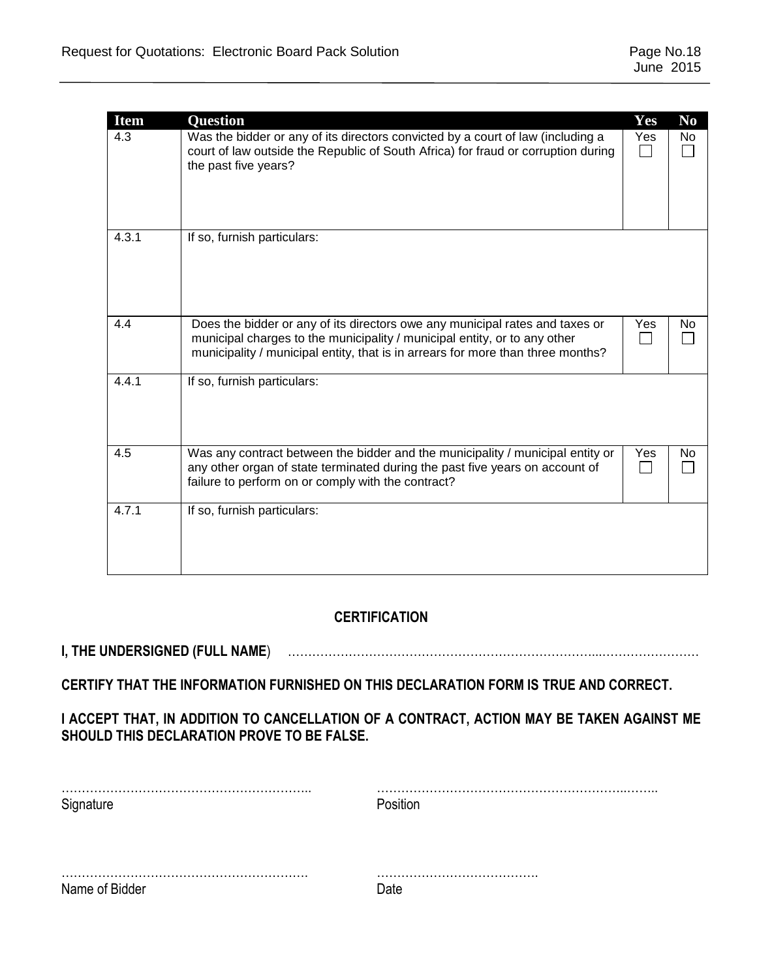| <b>Item</b> | Question                                                                                                                                                                                                                                     | Yes | N <sub>0</sub> |
|-------------|----------------------------------------------------------------------------------------------------------------------------------------------------------------------------------------------------------------------------------------------|-----|----------------|
| 4.3         | Was the bidder or any of its directors convicted by a court of law (including a<br>court of law outside the Republic of South Africa) for fraud or corruption during<br>the past five years?                                                 | Yes | No<br>$\sim$   |
| 4.3.1       | If so, furnish particulars:                                                                                                                                                                                                                  |     |                |
| 4.4         | Does the bidder or any of its directors owe any municipal rates and taxes or<br>municipal charges to the municipality / municipal entity, or to any other<br>municipality / municipal entity, that is in arrears for more than three months? | Yes | No             |
| 4.4.1       | If so, furnish particulars:                                                                                                                                                                                                                  |     |                |
| 4.5         | Was any contract between the bidder and the municipality / municipal entity or<br>any other organ of state terminated during the past five years on account of<br>failure to perform on or comply with the contract?                         | Yes | No             |
| 4.7.1       | If so, furnish particulars:                                                                                                                                                                                                                  |     |                |

## **CERTIFICATION**

## **I, THE UNDERSIGNED (FULL NAME**) …………………………………………………………………...……………………

## **CERTIFY THAT THE INFORMATION FURNISHED ON THIS DECLARATION FORM IS TRUE AND CORRECT.**

## **I ACCEPT THAT, IN ADDITION TO CANCELLATION OF A CONTRACT, ACTION MAY BE TAKEN AGAINST ME SHOULD THIS DECLARATION PROVE TO BE FALSE.**

| Signature      | Position |
|----------------|----------|
|                |          |
|                |          |
| Name of Bidder | า่ลte    |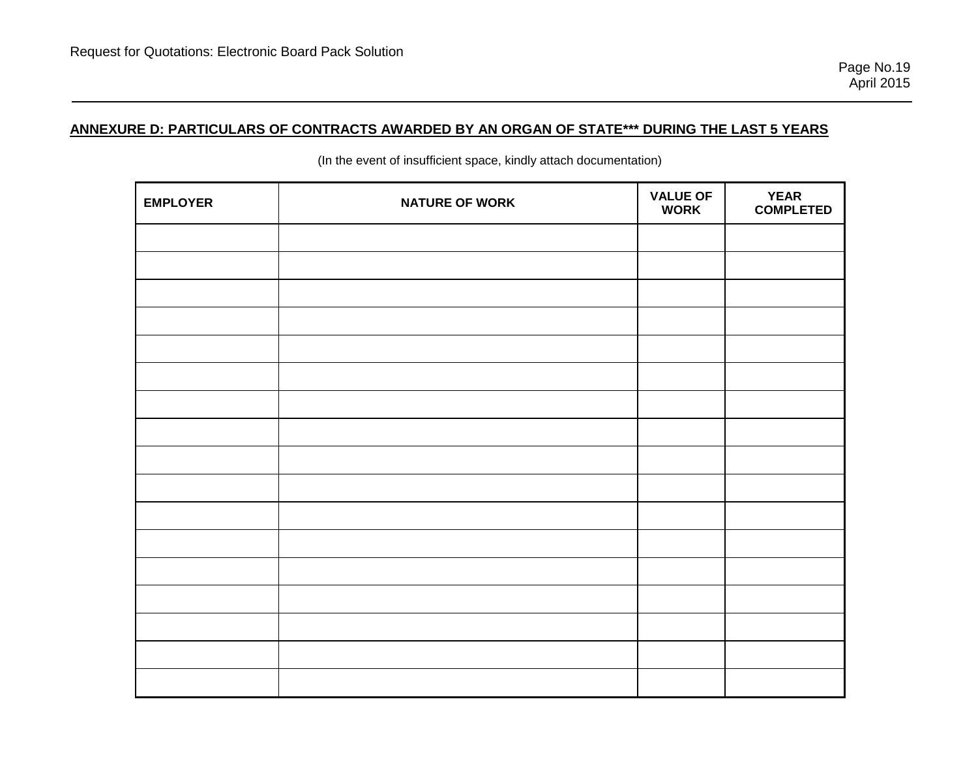## **ANNEXURE D: PARTICULARS OF CONTRACTS AWARDED BY AN ORGAN OF STATE\*\*\* DURING THE LAST 5 YEARS**

| <b>EMPLOYER</b> | <b>NATURE OF WORK</b> | <b>VALUE OF</b><br><b>WORK</b> | <b>YEAR</b><br><b>COMPLETED</b> |
|-----------------|-----------------------|--------------------------------|---------------------------------|
|                 |                       |                                |                                 |
|                 |                       |                                |                                 |
|                 |                       |                                |                                 |
|                 |                       |                                |                                 |
|                 |                       |                                |                                 |
|                 |                       |                                |                                 |
|                 |                       |                                |                                 |
|                 |                       |                                |                                 |
|                 |                       |                                |                                 |
|                 |                       |                                |                                 |
|                 |                       |                                |                                 |
|                 |                       |                                |                                 |
|                 |                       |                                |                                 |
|                 |                       |                                |                                 |
|                 |                       |                                |                                 |
|                 |                       |                                |                                 |
|                 |                       |                                |                                 |

(In the event of insufficient space, kindly attach documentation)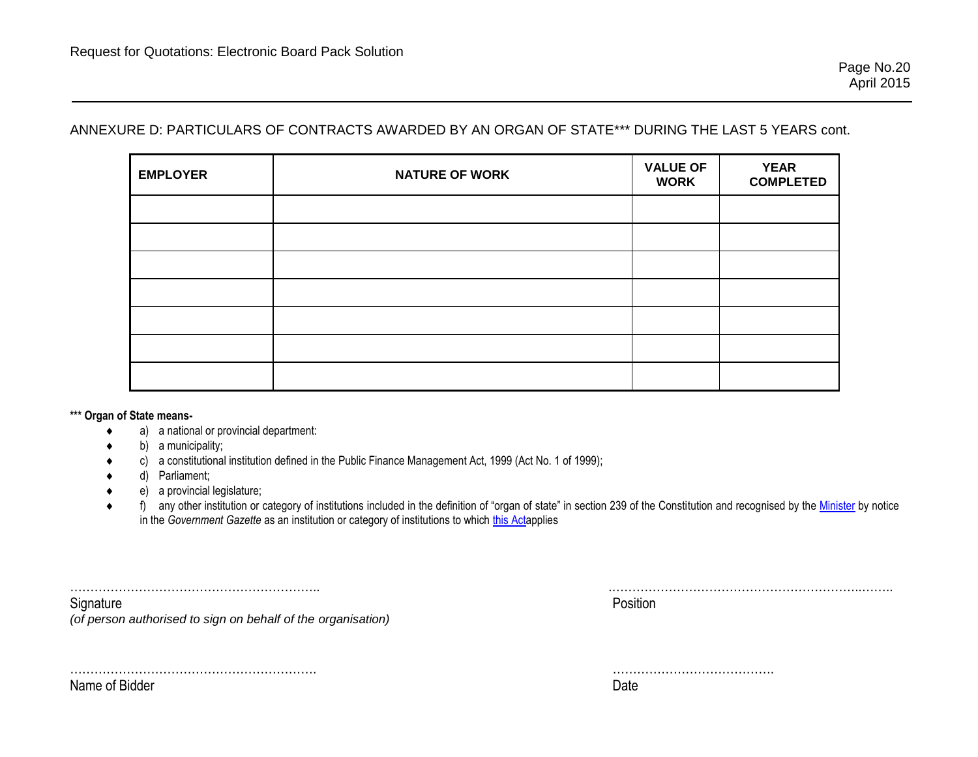## ANNEXURE D: PARTICULARS OF CONTRACTS AWARDED BY AN ORGAN OF STATE\*\*\* DURING THE LAST 5 YEARS cont.

| <b>EMPLOYER</b> | <b>NATURE OF WORK</b> | <b>VALUE OF</b><br><b>WORK</b> | <b>YEAR</b><br><b>COMPLETED</b> |
|-----------------|-----------------------|--------------------------------|---------------------------------|
|                 |                       |                                |                                 |
|                 |                       |                                |                                 |
|                 |                       |                                |                                 |
|                 |                       |                                |                                 |
|                 |                       |                                |                                 |
|                 |                       |                                |                                 |
|                 |                       |                                |                                 |

**\*\*\* Organ of State means-**

- a) a national or provincial department:
- b) a municipality;
- c) a constitutional institution defined in the Public Finance Management Act, 1999 (Act No. 1 of 1999);
- d) Parliament;
- e) a provincial legislature;
- ◆ f) any other institution or category of institutions included in the definition of "organ of state" in section 239 of the Constitution and recognised by the [Minister](javascript:void(0);) by notice in the *Government Gazette* as an institution or category of institutions to which [this Acta](javascript:void(0);)pplies

Signature **Position** 

…………………………………………………….. .……………………………………………………..……..

*(of person authorised to sign on behalf of the organisation)*

Name of Bidder Date

……………………………………………………. ………………………………….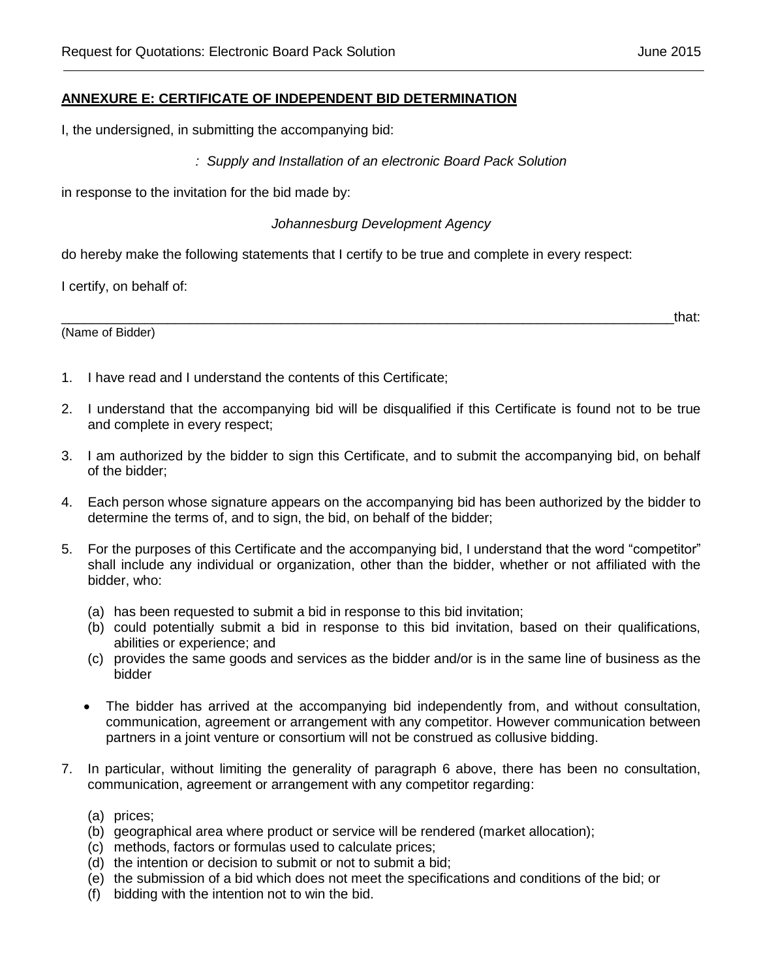### **ANNEXURE E: CERTIFICATE OF INDEPENDENT BID DETERMINATION**

I, the undersigned, in submitting the accompanying bid:

*: Supply and Installation of an electronic Board Pack Solution* 

in response to the invitation for the bid made by:

*Johannesburg Development Agency*

do hereby make the following statements that I certify to be true and complete in every respect:

I certify, on behalf of:

(Name of Bidder)

 $\hbox{and}\hskip1cm \hbox{that}$ 

- 1. I have read and I understand the contents of this Certificate;
- 2. I understand that the accompanying bid will be disqualified if this Certificate is found not to be true and complete in every respect;
- 3. I am authorized by the bidder to sign this Certificate, and to submit the accompanying bid, on behalf of the bidder;
- 4. Each person whose signature appears on the accompanying bid has been authorized by the bidder to determine the terms of, and to sign, the bid, on behalf of the bidder;
- 5. For the purposes of this Certificate and the accompanying bid, I understand that the word "competitor" shall include any individual or organization, other than the bidder, whether or not affiliated with the bidder, who:
	- (a) has been requested to submit a bid in response to this bid invitation;
	- (b) could potentially submit a bid in response to this bid invitation, based on their qualifications, abilities or experience; and
	- (c) provides the same goods and services as the bidder and/or is in the same line of business as the bidder
	- The bidder has arrived at the accompanying bid independently from, and without consultation, communication, agreement or arrangement with any competitor. However communication between partners in a joint venture or consortium will not be construed as collusive bidding.
- 7. In particular, without limiting the generality of paragraph 6 above, there has been no consultation, communication, agreement or arrangement with any competitor regarding:
	- (a) prices;
	- (b) geographical area where product or service will be rendered (market allocation);
	- (c) methods, factors or formulas used to calculate prices;
	- (d) the intention or decision to submit or not to submit a bid;
	- (e) the submission of a bid which does not meet the specifications and conditions of the bid; or
	- (f) bidding with the intention not to win the bid.